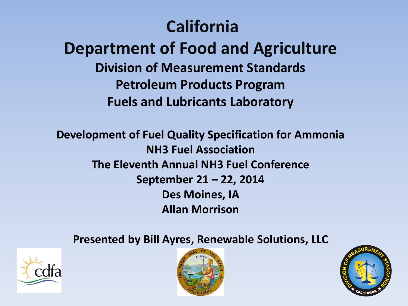#### **California**

#### **Department of Food and Agriculture Division of Measurement Standards Petroleum Products Program Fuels and Lubricants Laboratory**

**Development of Fuel Quality Specification for Ammonia NH3 Fuel Association The Eleventh Annual NH3 Fuel Conference September 21 – 22, 2014 Des Moines, IA Allan Morrison** 

#### **Presented by Bill Ayres, Renewable Solutions, LLC**





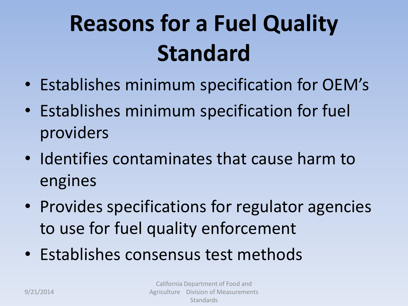# **Reasons for a Fuel Quality Standard**

- Establishes minimum specification for OEM's
- Establishes minimum specification for fuel providers
- Identifies contaminates that cause harm to engines
- Provides specifications for regulator agencies to use for fuel quality enforcement
- Establishes consensus test methods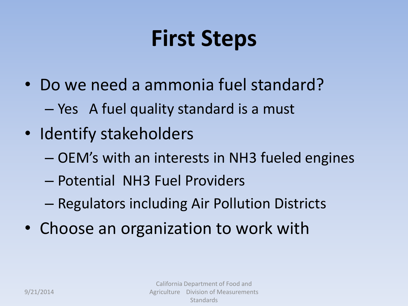## **First Steps**

- Do we need a ammonia fuel standard?
	- Yes A fuel quality standard is a must
- Identify stakeholders
	- OEM's with an interests in NH3 fueled engines
	- Potential NH3 Fuel Providers
	- Regulators including Air Pollution Districts
- Choose an organization to work with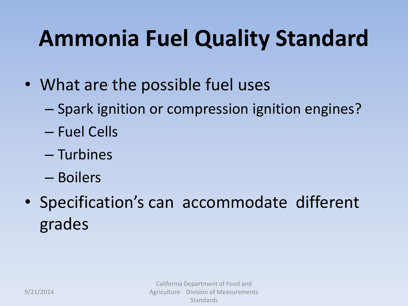## **Ammonia Fuel Quality Standard**

- What are the possible fuel uses
	- Spark ignition or compression ignition engines?
	- Fuel Cells
	- Turbines
	- Boilers
- Specification's can accommodate different grades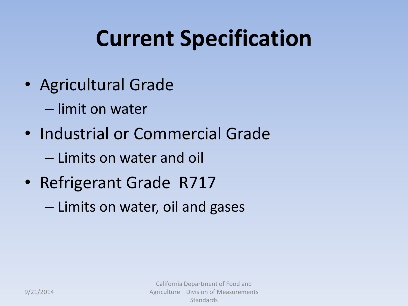## **Current Specification**

- Agricultural Grade
	- limit on water
- Industrial or Commercial Grade
	- Limits on water and oil
- Refrigerant Grade R717
	- Limits on water, oil and gases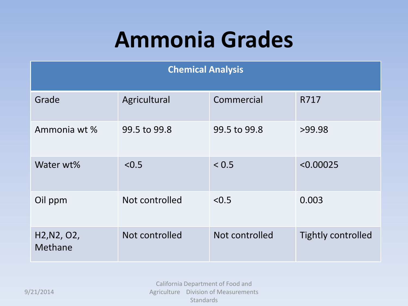## **Ammonia Grades**

| <b>Chemical Analysis</b>                                      |                |                |                           |  |
|---------------------------------------------------------------|----------------|----------------|---------------------------|--|
| Grade                                                         | Agricultural   | Commercial     | R717                      |  |
| Ammonia wt %                                                  | 99.5 to 99.8   | 99.5 to 99.8   | >99.98                    |  |
| Water wt%                                                     | < 0.5          | < 0.5          | < 0.00025                 |  |
| Oil ppm                                                       | Not controlled | < 0.5          | 0.003                     |  |
| H <sub>2</sub> , N <sub>2</sub> , O <sub>2</sub> ,<br>Methane | Not controlled | Not controlled | <b>Tightly controlled</b> |  |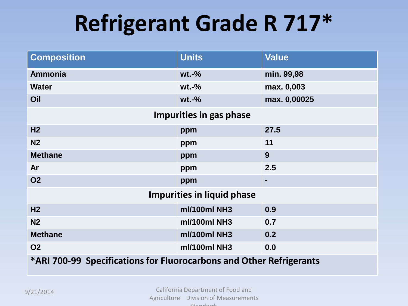## **Refrigerant Grade R 717\***

| <b>Composition</b>                                                  | <b>Units</b> | <b>Value</b> |  |  |
|---------------------------------------------------------------------|--------------|--------------|--|--|
| <b>Ammonia</b>                                                      | $wt.-%$      | min. 99,98   |  |  |
| <b>Water</b>                                                        | $wt.-%$      | max. 0,003   |  |  |
| Oil                                                                 | $wt.-%$      | max. 0,00025 |  |  |
| Impurities in gas phase                                             |              |              |  |  |
| H <sub>2</sub>                                                      | ppm          | 27.5         |  |  |
| N <sub>2</sub>                                                      | ppm          | 11           |  |  |
| <b>Methane</b>                                                      | ppm          | 9            |  |  |
| Ar                                                                  | ppm          | 2.5          |  |  |
| <b>O2</b>                                                           | ppm          | -            |  |  |
| <b>Impurities in liquid phase</b>                                   |              |              |  |  |
| H <sub>2</sub>                                                      | ml/100ml NH3 | 0.9          |  |  |
| N <sub>2</sub>                                                      | ml/100ml NH3 | 0.7          |  |  |
| <b>Methane</b>                                                      | ml/100ml NH3 | 0.2          |  |  |
| <b>O2</b>                                                           | ml/100ml NH3 | 0.0          |  |  |
| *ARI 700-99 Specifications for Fluorocarbons and Other Refrigerants |              |              |  |  |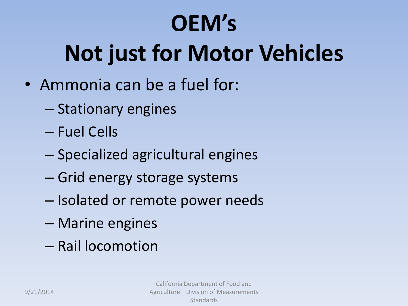# **OEM's Not just for Motor Vehicles**

- Ammonia can be a fuel for:
	- Stationary engines
	- Fuel Cells
	- Specialized agricultural engines
	- Grid energy storage systems
	- Isolated or remote power needs
	- Marine engines
	- Rail locomotion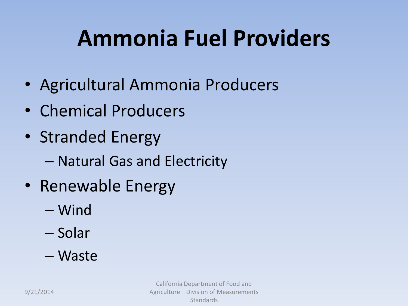## **Ammonia Fuel Providers**

- Agricultural Ammonia Producers
- Chemical Producers
- Stranded Energy
	- Natural Gas and Electricity
- Renewable Energy
	- Wind
	- Solar
	- Waste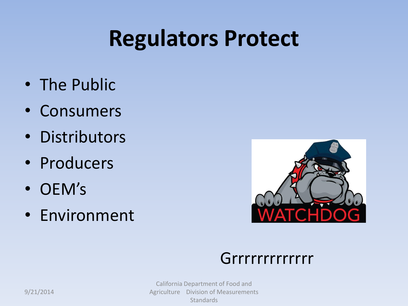### **Regulators Protect**

- The Public
- Consumers
- Distributors
- Producers
- OEM's
- Environment



#### Grrrrrrrrrrrr

California Department of Food and Agriculture Division of Measurements Standards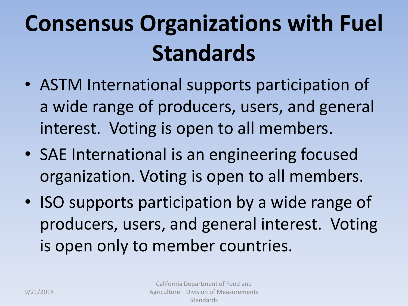# **Consensus Organizations with Fuel Standards**

- ASTM International supports participation of a wide range of producers, users, and general interest. Voting is open to all members.
- SAE International is an engineering focused organization. Voting is open to all members.
- ISO supports participation by a wide range of producers, users, and general interest. Voting is open only to member countries.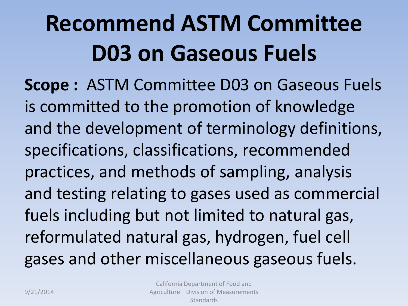# **Recommend ASTM Committee D03 on Gaseous Fuels**

**Scope :** ASTM Committee D03 on Gaseous Fuels is committed to the promotion of knowledge and the development of terminology definitions, specifications, classifications, recommended practices, and methods of sampling, analysis and testing relating to gases used as commercial fuels including but not limited to natural gas, reformulated natural gas, hydrogen, fuel cell gases and other miscellaneous gaseous fuels.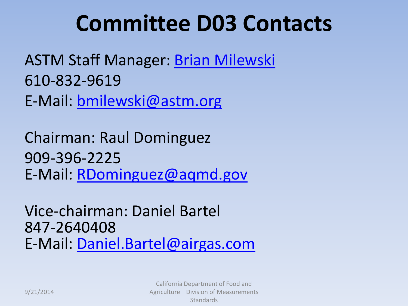### **Committee D03 Contacts**

ASTM Staff Manager: [Brian Milewski](mailto:bmilewski@astm.org) 610-832-9619 E-Mail: [bmilewski@astm.org](mailto:bmilewski@astm.org)

Chairman: Raul Dominguez 909-396-2225 E-Mail: [RDominguez@aqmd.gov](mailto:RDominguez@aqmd.gov)

Vice-chairman: Daniel Bartel 847-2640408 E-Mail: [Daniel.Bartel@airgas.com](mailto:Daniel.Bartel@airgas.com)

> California Department of Food and Agriculture Division of Measurements **Standards**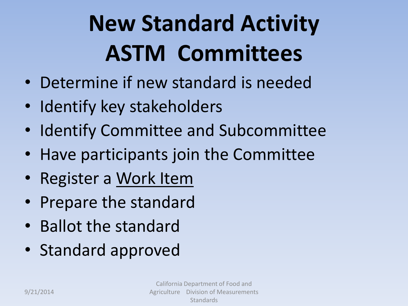# **New Standard Activity ASTM Committees**

- Determine if new standard is needed
- Identify key stakeholders
- Identify Committee and Subcommittee
- Have participants join the Committee
- Register a Work Item
- Prepare the standard
- Ballot the standard
- Standard approved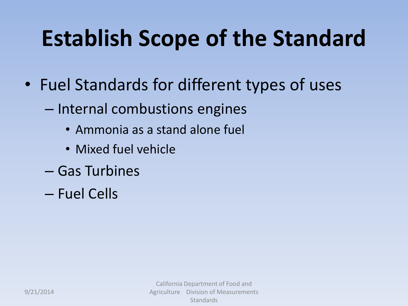## **Establish Scope of the Standard**

- Fuel Standards for different types of uses
	- Internal combustions engines
		- Ammonia as a stand alone fuel
		- Mixed fuel vehicle
	- Gas Turbines
	- Fuel Cells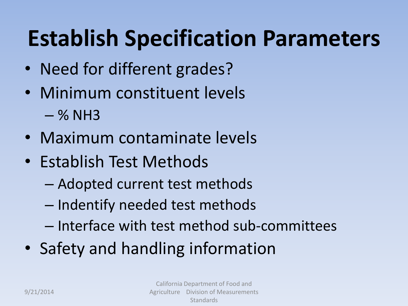## **Establish Specification Parameters**

- Need for different grades?
- Minimum constituent levels  $-$  % NH3
- Maximum contaminate levels
- Establish Test Methods
	- Adopted current test methods
	- Indentify needed test methods
	- Interface with test method sub-committees
- Safety and handling information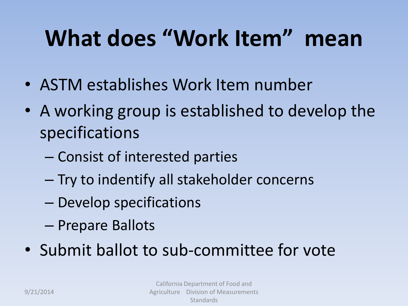## **What does "Work Item" mean**

- ASTM establishes Work Item number
- A working group is established to develop the specifications
	- Consist of interested parties
	- Try to indentify all stakeholder concerns
	- Develop specifications
	- Prepare Ballots
- Submit ballot to sub-committee for vote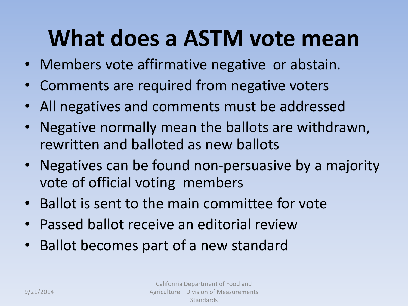### **What does a ASTM vote mean**

- Members vote affirmative negative or abstain.
- Comments are required from negative voters
- All negatives and comments must be addressed
- Negative normally mean the ballots are withdrawn, rewritten and balloted as new ballots
- Negatives can be found non-persuasive by a majority vote of official voting members
- Ballot is sent to the main committee for vote
- Passed ballot receive an editorial review
- Ballot becomes part of a new standard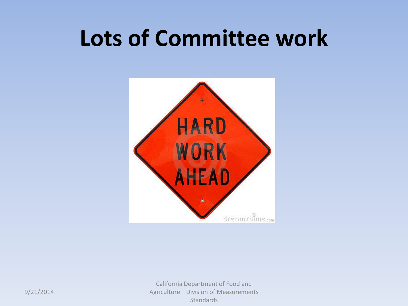### **Lots of Committee work**



California Department of Food and Agriculture Division of Measurements Standards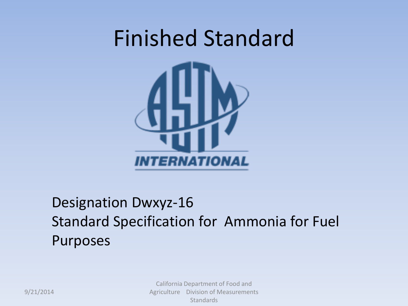

#### Designation Dwxyz-16 Standard Specification for Ammonia for Fuel Purposes

California Department of Food and Agriculture Division of Measurements **Standards**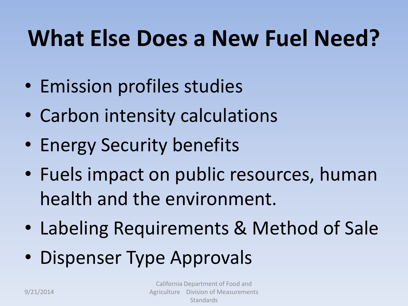## **What Else Does a New Fuel Need?**

- Emission profiles studies
- Carbon intensity calculations
- Energy Security benefits
- Fuels impact on public resources, human health and the environment.
- Labeling Requirements & Method of Sale
- Dispenser Type Approvals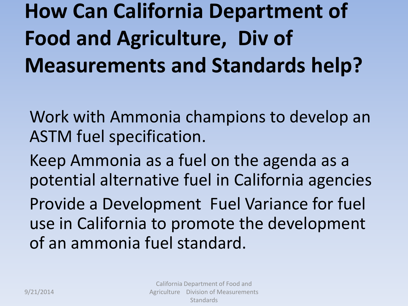## **How Can California Department of Food and Agriculture, Div of Measurements and Standards help?**

Work with Ammonia champions to develop an ASTM fuel specification.

Keep Ammonia as a fuel on the agenda as a potential alternative fuel in California agencies

Provide a Development Fuel Variance for fuel use in California to promote the development of an ammonia fuel standard.